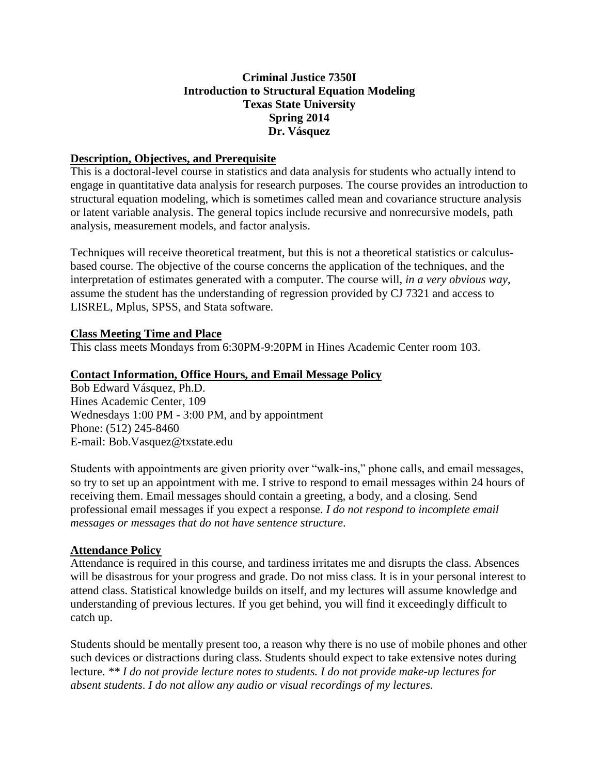### **Criminal Justice 7350I Introduction to Structural Equation Modeling Texas State University Spring 2014 Dr. Vásquez**

# **Description, Objectives, and Prerequisite**

This is a doctoral-level course in statistics and data analysis for students who actually intend to engage in quantitative data analysis for research purposes. The course provides an introduction to structural equation modeling, which is sometimes called mean and covariance structure analysis or latent variable analysis. The general topics include recursive and nonrecursive models, path analysis, measurement models, and factor analysis.

Techniques will receive theoretical treatment, but this is not a theoretical statistics or calculusbased course. The objective of the course concerns the application of the techniques, and the interpretation of estimates generated with a computer. The course will, *in a very obvious way*, assume the student has the understanding of regression provided by CJ 7321 and access to LISREL, Mplus, SPSS, and Stata software.

### **Class Meeting Time and Place**

This class meets Mondays from 6:30PM-9:20PM in Hines Academic Center room 103.

### **Contact Information, Office Hours, and Email Message Policy**

Bob Edward Vásquez, Ph.D. Hines Academic Center, 109 Wednesdays 1:00 PM - 3:00 PM, and by appointment Phone: (512) 245-8460 E-mail: Bob.Vasquez@txstate.edu

Students with appointments are given priority over "walk-ins," phone calls, and email messages, so try to set up an appointment with me. I strive to respond to email messages within 24 hours of receiving them. Email messages should contain a greeting, a body, and a closing. Send professional email messages if you expect a response. *I do not respond to incomplete email messages or messages that do not have sentence structure*.

#### **Attendance Policy**

Attendance is required in this course, and tardiness irritates me and disrupts the class. Absences will be disastrous for your progress and grade. Do not miss class. It is in your personal interest to attend class. Statistical knowledge builds on itself, and my lectures will assume knowledge and understanding of previous lectures. If you get behind, you will find it exceedingly difficult to catch up.

Students should be mentally present too, a reason why there is no use of mobile phones and other such devices or distractions during class. Students should expect to take extensive notes during lecture. *\*\* I do not provide lecture notes to students. I do not provide make-up lectures for absent students*. *I do not allow any audio or visual recordings of my lectures.*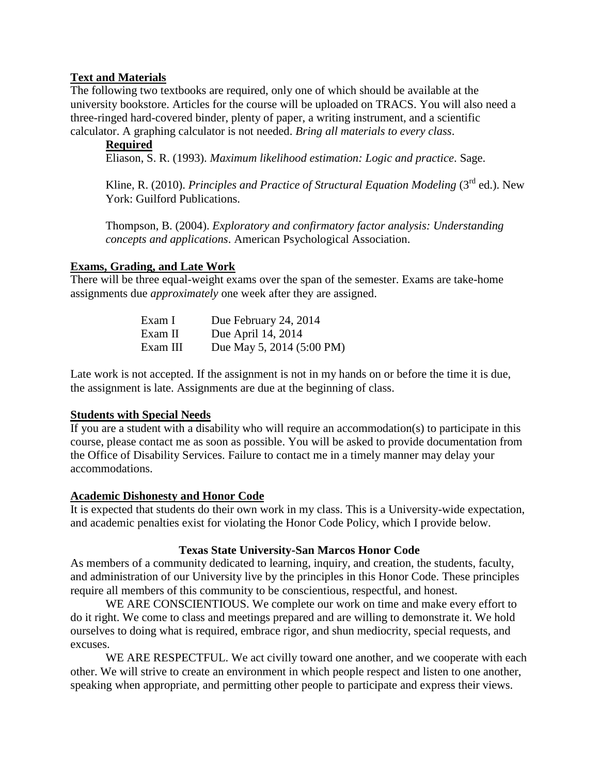### **Text and Materials**

The following two textbooks are required, only one of which should be available at the university bookstore. Articles for the course will be uploaded on TRACS. You will also need a three-ringed hard-covered binder, plenty of paper, a writing instrument, and a scientific calculator. A graphing calculator is not needed. *Bring all materials to every class*.

### **Required**

Eliason, S. R. (1993). *Maximum likelihood estimation: Logic and practice*. Sage.

Kline, R. (2010). *Principles and Practice of Structural Equation Modeling* (3<sup>rd</sup> ed.). New York: Guilford Publications.

Thompson, B. (2004). *Exploratory and confirmatory factor analysis: Understanding concepts and applications*. American Psychological Association.

### **Exams, Grading, and Late Work**

There will be three equal-weight exams over the span of the semester. Exams are take-home assignments due *approximately* one week after they are assigned.

| Exam I   | Due February 24, 2014     |
|----------|---------------------------|
| Exam II  | Due April 14, 2014        |
| Exam III | Due May 5, 2014 (5:00 PM) |

Late work is not accepted. If the assignment is not in my hands on or before the time it is due, the assignment is late. Assignments are due at the beginning of class.

# **Students with Special Needs**

If you are a student with a disability who will require an accommodation(s) to participate in this course, please contact me as soon as possible. You will be asked to provide documentation from the Office of Disability Services. Failure to contact me in a timely manner may delay your accommodations.

#### **Academic Dishonesty and Honor Code**

It is expected that students do their own work in my class. This is a University-wide expectation, and academic penalties exist for violating the Honor Code Policy, which I provide below.

# **Texas State University-San Marcos Honor Code**

As members of a community dedicated to learning, inquiry, and creation, the students, faculty, and administration of our University live by the principles in this Honor Code. These principles require all members of this community to be conscientious, respectful, and honest.

WE ARE CONSCIENTIOUS. We complete our work on time and make every effort to do it right. We come to class and meetings prepared and are willing to demonstrate it. We hold ourselves to doing what is required, embrace rigor, and shun mediocrity, special requests, and excuses.

WE ARE RESPECTFUL. We act civilly toward one another, and we cooperate with each other. We will strive to create an environment in which people respect and listen to one another, speaking when appropriate, and permitting other people to participate and express their views.